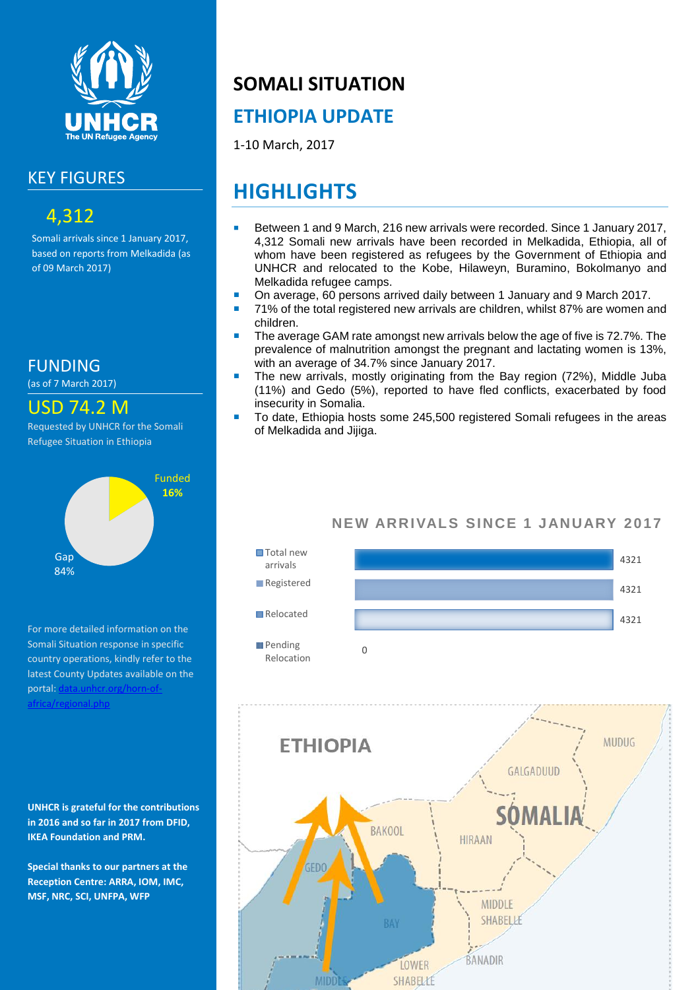

### KEY FIGURES

## 4,312

Somali arrivals since 1 January 2017, based on reports from Melkadida (as of 09 March 2017)

FUNDING

(as of 7 March 2017)

USD 74.2 M

Requested by UNHCR for the Somali Refugee Situation in Ethiopia



For more detailed information on the Somali Situation response in specific country operations, kindly refer to the latest County Updates available on the portal: data.unhcr.org/horn-of [africa/regional.php](http://data.unhcr.org/SouthSudan/regional.php)

**UNHCR is grateful for the contributions in 2016 and so far in 2017 from DFID, IKEA Foundation and PRM.**

**Special thanks to our partners at the Reception Centre: ARRA, IOM, IMC, MSF, NRC, SCI, UNFPA, WFP**

# **SOMALI SITUATION**

## **ETHIOPIA UPDATE**

1-10 March, 2017

# **HIGHLIGHTS**

- Between 1 and 9 March, 216 new arrivals were recorded. Since 1 January 2017, 4,312 Somali new arrivals have been recorded in Melkadida, Ethiopia, all of whom have been registered as refugees by the Government of Ethiopia and UNHCR and relocated to the Kobe, Hilaweyn, Buramino, Bokolmanyo and Melkadida refugee camps.
- On average, 60 persons arrived daily between 1 January and 9 March 2017.
- 71% of the total registered new arrivals are children, whilst 87% are women and children.
- The average GAM rate amongst new arrivals below the age of five is 72.7%. The prevalence of malnutrition amongst the pregnant and lactating women is 13%, with an average of 34.7% since January 2017.
- The new arrivals, mostly originating from the Bay region (72%), Middle Juba (11%) and Gedo (5%), reported to have fled conflicts, exacerbated by food insecurity in Somalia.
- To date, Ethiopia hosts some 245,500 registered Somali refugees in the areas of Melkadida and Jijiga.

#### **NEW ARRIVALS SINCE 1 JANUARY 2017**